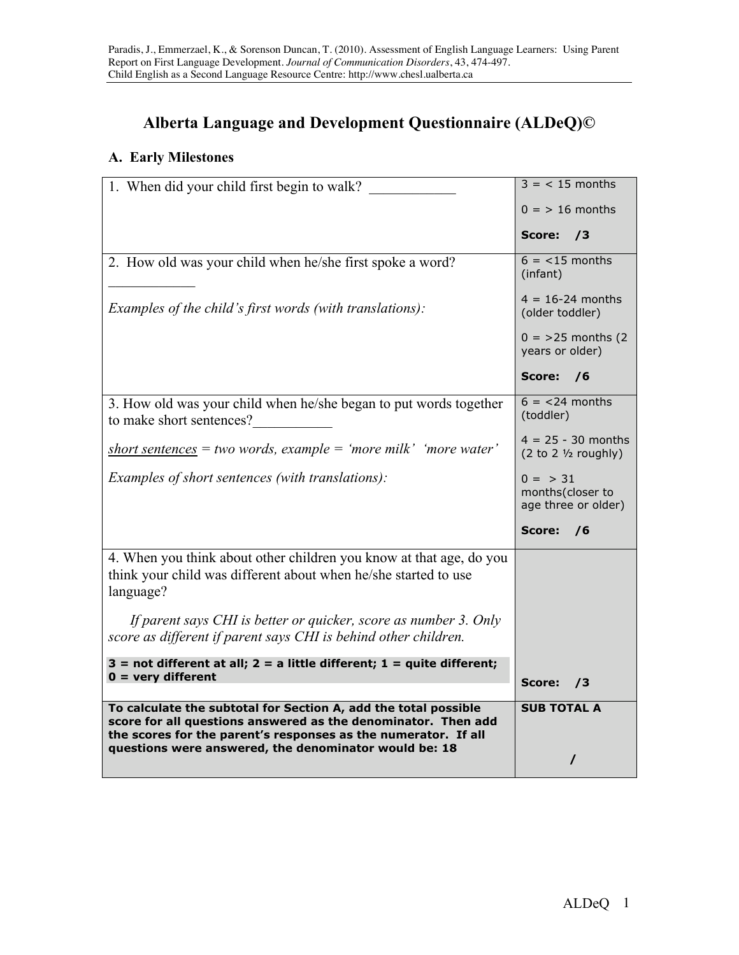# **Alberta Language and Development Questionnaire (ALDeQ)©**

# **A. Early Milestones**

| 1. When did your child first begin to walk?                                                                                                                                                        | $3 = 15$ months                                        |
|----------------------------------------------------------------------------------------------------------------------------------------------------------------------------------------------------|--------------------------------------------------------|
|                                                                                                                                                                                                    | $0 =$ > 16 months                                      |
|                                                                                                                                                                                                    | Score:<br>/3                                           |
| 2. How old was your child when he/she first spoke a word?                                                                                                                                          | $6 = 15$ months<br>(infant)                            |
| <i>Examples of the child's first words (with translations):</i>                                                                                                                                    | $4 = 16 - 24$ months<br>(older toddler)                |
|                                                                                                                                                                                                    | $0 = 25$ months (2)<br>years or older)                 |
|                                                                                                                                                                                                    | Score:<br>76                                           |
| 3. How old was your child when he/she began to put words together<br>to make short sentences?                                                                                                      | $6 = 24$ months<br>(toddler)                           |
| $short$ sentences = two words, example = 'more milk' 'more water'                                                                                                                                  | $4 = 25 - 30$ months<br>$(2 to 2 \frac{1}{2} roughly)$ |
| <i>Examples of short sentences (with translations):</i>                                                                                                                                            | $0 = > 31$<br>months(closer to<br>age three or older)  |
|                                                                                                                                                                                                    | Score:<br>76                                           |
| 4. When you think about other children you know at that age, do you<br>think your child was different about when he/she started to use<br>language?                                                |                                                        |
| If parent says CHI is better or quicker, score as number 3. Only<br>score as different if parent says CHI is behind other children.                                                                |                                                        |
| $3$ = not different at all; $2$ = a little different; $1$ = quite different;                                                                                                                       |                                                        |
| $0 =$ very different                                                                                                                                                                               | Score:<br>$\sqrt{3}$                                   |
| To calculate the subtotal for Section A, add the total possible<br>score for all questions answered as the denominator. Then add<br>the scores for the parent's responses as the numerator. If all | <b>SUB TOTAL A</b>                                     |
| questions were answered, the denominator would be: 18                                                                                                                                              |                                                        |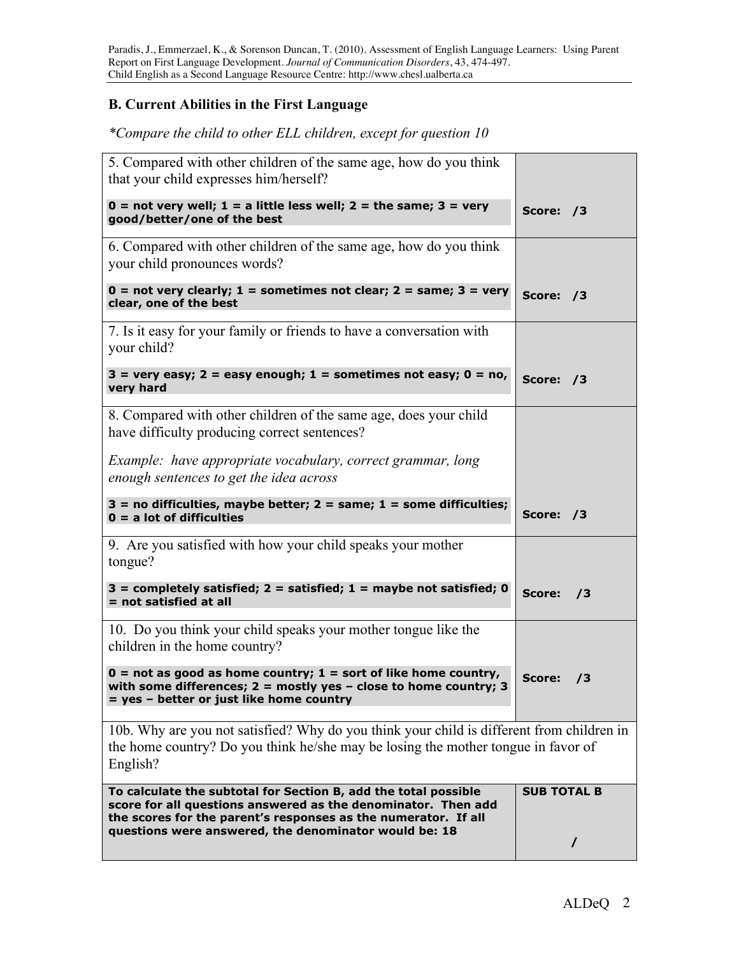### **B. Current Abilities in the First Language**

I

### *\*Compare the child to other ELL children, except for question 10*

| To calculate the subtotal for Section B, add the total possible<br>score for all questions answered as the denominator. Then add<br>the scores for the parent's responses as the numerator. If all<br>questions were answered, the denominator would be: 18 | <b>SUB TOTAL B</b><br>$\prime$ |
|-------------------------------------------------------------------------------------------------------------------------------------------------------------------------------------------------------------------------------------------------------------|--------------------------------|
| 10b. Why are you not satisfied? Why do you think your child is different from children in<br>the home country? Do you think he/she may be losing the mother tongue in favor of<br>English?                                                                  |                                |
| $0 = not$ as good as home country; $1 = sort$ of like home country,<br>with some differences; $2 = \text{mostly yes} - \text{close to home country}$ ; 3<br>= yes - better or just like home country                                                        | Score:<br>73                   |
| 10. Do you think your child speaks your mother tongue like the<br>children in the home country?                                                                                                                                                             |                                |
| $3 =$ completely satisfied; $2 =$ satisfied; $1 =$ maybe not satisfied; 0<br>$=$ not satisfied at all                                                                                                                                                       | Score:<br>/3                   |
| 9. Are you satisfied with how your child speaks your mother<br>tongue?                                                                                                                                                                                      |                                |
| $3 = no$ difficulties, maybe better; $2 = same$ ; $1 = some$ difficulties;<br>$0 = a$ lot of difficulties                                                                                                                                                   | Score: /3                      |
| Example: have appropriate vocabulary, correct grammar, long<br>enough sentences to get the idea across                                                                                                                                                      |                                |
| 8. Compared with other children of the same age, does your child<br>have difficulty producing correct sentences?                                                                                                                                            |                                |
| $3 =$ very easy; $2 =$ easy enough; $1 =$ sometimes not easy; $0 =$ no,<br>very hard                                                                                                                                                                        | Score: /3                      |
| 7. Is it easy for your family or friends to have a conversation with<br>your child?                                                                                                                                                                         |                                |
| $0 = not very clearly; 1 = sometimes not clear; 2 = same; 3 = very$<br>clear, one of the best                                                                                                                                                               | Score: /3                      |
| 6. Compared with other children of the same age, how do you think<br>your child pronounces words?                                                                                                                                                           |                                |
| $0 = not very well; 1 = a little less well; 2 = the same; 3 = very$<br>good/better/one of the best                                                                                                                                                          | Score: /3                      |
| 5. Compared with other children of the same age, how do you think<br>that your child expresses him/herself?                                                                                                                                                 |                                |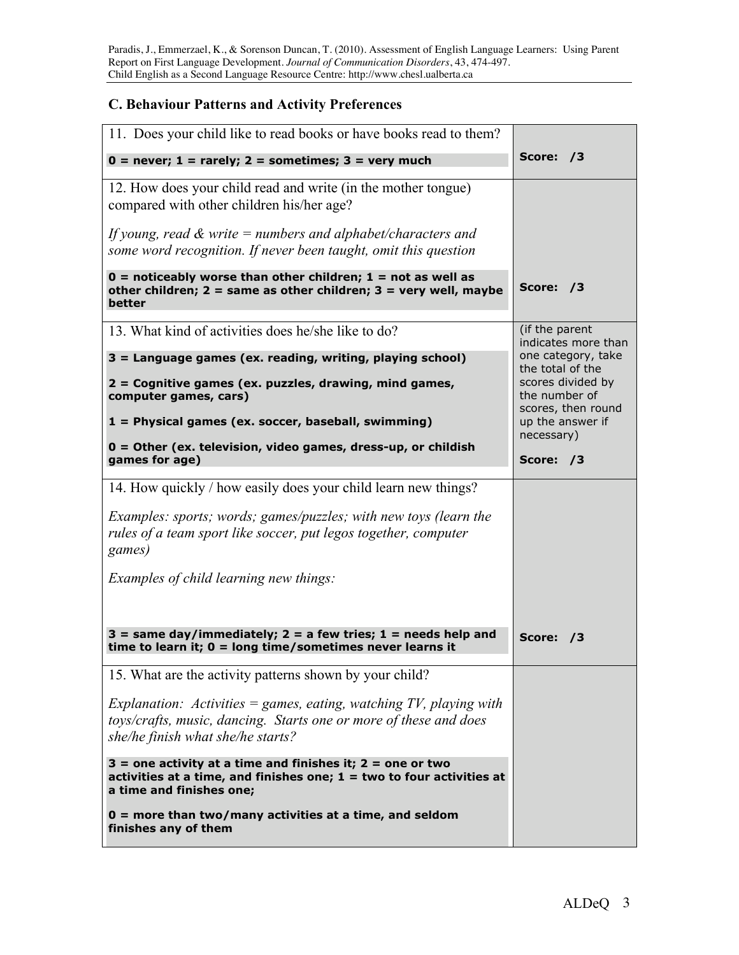# **C. Behaviour Patterns and Activity Preferences**

| 11. Does your child like to read books or have books read to them?                                                                                                    |                                                          |
|-----------------------------------------------------------------------------------------------------------------------------------------------------------------------|----------------------------------------------------------|
| $0 =$ never; $1 =$ rarely; $2 =$ sometimes; $3 =$ very much                                                                                                           | Score: /3                                                |
| 12. How does your child read and write (in the mother tongue)<br>compared with other children his/her age?                                                            |                                                          |
| If young, read $\&$ write = numbers and alphabet/characters and<br>some word recognition. If never been taught, omit this question                                    |                                                          |
| $0 =$ noticeably worse than other children; $1 =$ not as well as<br>other children; $2 =$ same as other children; $3 =$ very well, maybe<br>better                    | Score: /3                                                |
| 13. What kind of activities does he/she like to do?                                                                                                                   | (if the parent<br>indicates more than                    |
| $3 =$ Language games (ex. reading, writing, playing school)                                                                                                           | one category, take<br>the total of the                   |
| 2 = Cognitive games (ex. puzzles, drawing, mind games,<br>computer games, cars)                                                                                       | scores divided by<br>the number of<br>scores, then round |
| 1 = Physical games (ex. soccer, baseball, swimming)                                                                                                                   | up the answer if<br>necessary)                           |
| $0 =$ Other (ex. television, video games, dress-up, or childish<br>games for age)                                                                                     | Score: /3                                                |
| 14. How quickly / how easily does your child learn new things?                                                                                                        |                                                          |
| <i>Examples: sports; words; games/puzzles; with new toys (learn the</i><br>rules of a team sport like soccer, put legos together, computer<br>games)                  |                                                          |
| Examples of child learning new things:                                                                                                                                |                                                          |
|                                                                                                                                                                       |                                                          |
| $3 =$ same day/immediately; $2 =$ a few tries; $1 =$ needs help and<br>time to learn it; $0 =$ long time/sometimes never learns it                                    | Score: /3                                                |
| 15. What are the activity patterns shown by your child?                                                                                                               |                                                          |
| Explanation: Activities $=$ games, eating, watching TV, playing with                                                                                                  |                                                          |
| toys/crafts, music, dancing. Starts one or more of these and does<br>she/he finish what she/he starts?                                                                |                                                          |
| $3 =$ one activity at a time and finishes it; $2 =$ one or two<br>activities at a time, and finishes one; $1 = two$ to four activities at<br>a time and finishes one; |                                                          |
| $0 =$ more than two/many activities at a time, and seldom<br>finishes any of them                                                                                     |                                                          |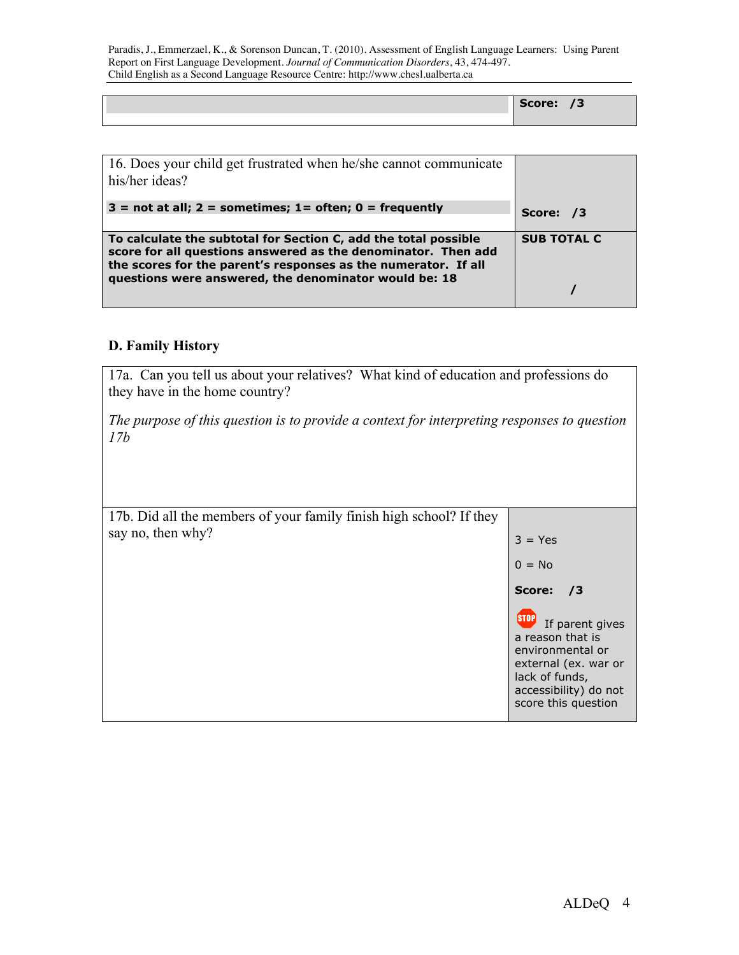Paradis, J., Emmerzael, K., & Sorenson Duncan, T. (2010). Assessment of English Language Learners: Using Parent Report on First Language Development. *Journal of Communication Disorders*, 43, 474-497. Child English as a Second Language Resource Centre: http://www.chesl.ualberta.ca

|  | $  -$<br>score: | . .<br>ೆ |
|--|-----------------|----------|
|  |                 |          |

| his/her ideas?                                                                                                                                                                                                                                              |                    |
|-------------------------------------------------------------------------------------------------------------------------------------------------------------------------------------------------------------------------------------------------------------|--------------------|
| $3$ = not at all; 2 = sometimes; 1 = often; 0 = frequently                                                                                                                                                                                                  | Score: /3          |
| To calculate the subtotal for Section C, add the total possible<br>score for all questions answered as the denominator. Then add<br>the scores for the parent's responses as the numerator. If all<br>questions were answered, the denominator would be: 18 | <b>SUB TOTAL C</b> |

#### **D. Family History**

17a. Can you tell us about your relatives? What kind of education and professions do they have in the home country?

*The purpose of this question is to provide a context for interpreting responses to question 17b*

| 17b. Did all the members of your family finish high school? If they |                                                                                                                                                   |
|---------------------------------------------------------------------|---------------------------------------------------------------------------------------------------------------------------------------------------|
| say no, then why?                                                   | $3 = Yes$                                                                                                                                         |
|                                                                     | $0 = No$                                                                                                                                          |
|                                                                     | Score:<br>/3                                                                                                                                      |
|                                                                     | If parent gives<br>a reason that is<br>environmental or<br>external (ex. war or<br>lack of funds,<br>accessibility) do not<br>score this question |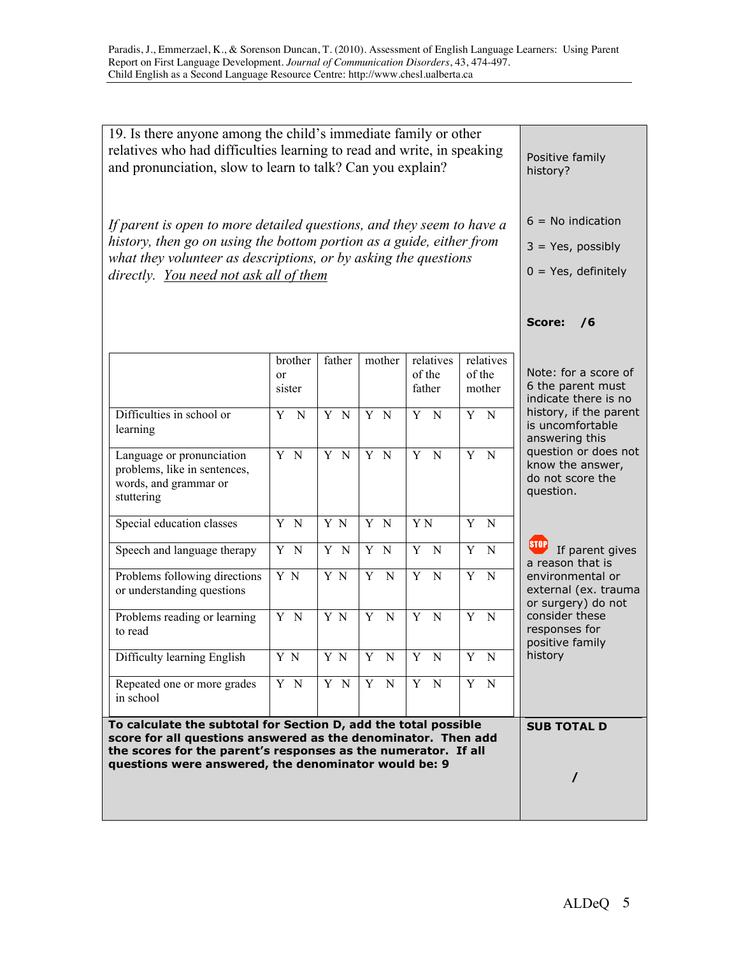| 19. Is there anyone among the child's immediate family or other<br>relatives who had difficulties learning to read and write, in speaking<br>and pronunciation, slow to learn to talk? Can you explain?                                                    | Positive family<br>history?                                           |        |                               |                               |                               |                                                                           |
|------------------------------------------------------------------------------------------------------------------------------------------------------------------------------------------------------------------------------------------------------------|-----------------------------------------------------------------------|--------|-------------------------------|-------------------------------|-------------------------------|---------------------------------------------------------------------------|
| If parent is open to more detailed questions, and they seem to have a<br>history, then go on using the bottom portion as a guide, either from<br>what they volunteer as descriptions, or by asking the questions<br>directly. You need not ask all of them | $6 = No$ indication<br>$3 = Yes$ , possibly<br>$0 = Yes$ , definitely |        |                               |                               |                               |                                                                           |
|                                                                                                                                                                                                                                                            |                                                                       |        |                               |                               |                               | <b>Score:</b><br>/6                                                       |
|                                                                                                                                                                                                                                                            | brother<br>or<br>sister                                               | father | mother                        | relatives<br>of the<br>father | relatives<br>of the<br>mother | Note: for a score of<br>6 the parent must<br>indicate there is no         |
| Difficulties in school or<br>learning                                                                                                                                                                                                                      | Y<br>$\mathbf N$                                                      | Y N    | Y N                           | Y N                           | Y N                           | history, if the parent<br>is uncomfortable<br>answering this              |
| Language or pronunciation<br>problems, like in sentences,<br>words, and grammar or<br>stuttering                                                                                                                                                           | Y N                                                                   | Y N    | Y N                           | Y N                           | $\overline{Y}$ N              | question or does not<br>know the answer,<br>do not score the<br>question. |
| Special education classes                                                                                                                                                                                                                                  | Y N                                                                   | Y N    | Y N                           | Y <sub>N</sub>                | Y<br>N                        |                                                                           |
| Speech and language therapy                                                                                                                                                                                                                                | Y N                                                                   | Y N    | Y N                           | Y N                           | $\overline{Y}$<br>$\mathbf N$ | If parent gives<br>a reason that is                                       |
| Problems following directions<br>or understanding questions                                                                                                                                                                                                | Y N                                                                   | Y N    | Y<br>$\mathbf N$              | Y<br>$\mathbf N$              | Y N                           | environmental or<br>external (ex. trauma<br>or surgery) do not            |
| Problems reading or learning<br>to read                                                                                                                                                                                                                    | Y N                                                                   | Y N    | $\overline{Y}$<br>$\mathbf N$ | Y N                           | $Y$ N                         | consider these<br>responses for<br>positive family                        |
| Difficulty learning English                                                                                                                                                                                                                                | Y N                                                                   | Y N    | Y N                           | Y N                           | Y N                           | history                                                                   |
| Repeated one or more grades<br>in school                                                                                                                                                                                                                   | Y N                                                                   | Y N    | Y N                           | Y N                           | Y N                           |                                                                           |
| To calculate the subtotal for Section D, add the total possible<br>score for all questions answered as the denominator. Then add<br>the scores for the parent's responses as the numerator. If all<br>questions were answered, the denominator would be: 9 |                                                                       |        |                               |                               |                               | <b>SUB TOTAL D</b>                                                        |